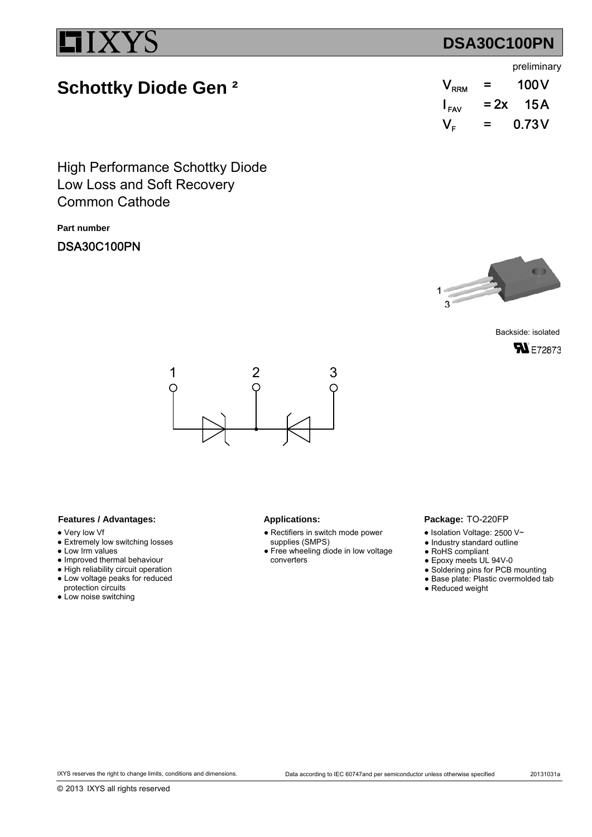# **DSA30C100PN**

# **Schottky Diode Gen ²**

|                             |        | preliminary      |
|-----------------------------|--------|------------------|
| $\mathsf{V}_{\mathsf{RRM}}$ | $=$    | 100 <sub>V</sub> |
| $\mathsf{I}_{\mathsf{FAV}}$ | $= 2x$ | - 15 A           |

 $V_{\rm F}$  = 0.73V

=

Low Loss and Soft Recovery High Performance Schottky Diode Common Cathode

**Part number**

DSA30C100PN



Backside: isolated **SN** E72873



## Features / Advantages: Applications:

- Very low Vf
- Extremely low switching losses
- Low Irm values
- Improved thermal behaviour
- High reliability circuit operation ● Low voltage peaks for reduced
- protection circuits ● Low noise switching
- 
- Rectifiers in switch mode power supplies (SMPS)
- Free wheeling diode in low voltage converters

### Package: TO-220FP

- $\bullet$  Isolation Voltage: 2500 V~
- Industry standard outline
- RoHS compliant
- Epoxy meets UL 94V-0
- Soldering pins for PCB mounting
- Base plate: Plastic overmolded tab
- Reduced weight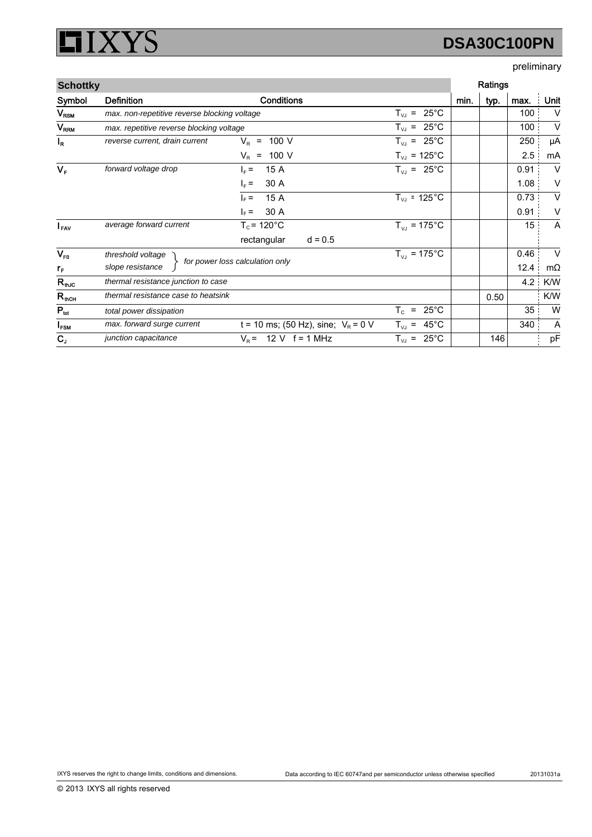### XYS ļ  $\Box$

# **DSA30C100PN**

## preliminary

| <b>Schottky</b>        |                                              |                                       |                                     |      | Ratings |      |           |
|------------------------|----------------------------------------------|---------------------------------------|-------------------------------------|------|---------|------|-----------|
| Symbol                 | <b>Definition</b>                            | <b>Conditions</b>                     |                                     | min. | typ.    | max. | Unit      |
| $V_{\text{RSM}}$       | max. non-repetitive reverse blocking voltage |                                       | $25^{\circ}$ C<br>$T_{VJ}$ =        |      |         | 100  | $\vee$    |
| <b>V<sub>RRM</sub></b> | max. repetitive reverse blocking voltage     |                                       | $T_{VJ}$ = 25°C                     |      |         | 100  | $\vee$    |
| $I_R$                  | reverse current, drain current               | 100 V<br>$V_R$ =                      | $T_{VJ}$ = 25°C                     |      |         | 250  | μA        |
|                        |                                              | $V_R$ = 100 V                         | $T_{VJ}$ = 125°C                    |      |         | 2.5  | mA        |
| $V_F$                  | forward voltage drop                         | 15 A<br>$I_F =$                       | $T_{VJ} = 25^{\circ}C$              |      |         | 0.91 | $\vee$    |
|                        |                                              | 30 A<br>$I_F =$                       |                                     |      |         | 1.08 | V         |
|                        |                                              | 15 A<br>$I_F =$                       | $T_{VJ}$ = 125 $^{\circ}$ C         |      |         | 0.73 | V         |
|                        |                                              | 30 A<br>$\vert_{\rm F}$ =             |                                     |      |         | 0.91 | ٧         |
| $I_{\text{FAV}}$       | average forward current                      | $T_c$ = 120 $^{\circ}$ C              | $T_{VJ}$ = 175°C                    |      |         | 15   | A         |
|                        |                                              | rectangular<br>$d = 0.5$              |                                     |      |         |      |           |
| $V_{F0}$               | threshold voltage                            |                                       | $T_{VJ}$ = 175°C                    |      |         | 0.46 | $\vee$    |
| $r_{\rm F}$            | slope resistance                             | for power loss calculation only       |                                     |      |         | 12.4 | $m\Omega$ |
| $R_{\text{th,IC}}$     | thermal resistance junction to case          |                                       |                                     |      |         | 4.2  | K/W       |
| $R_{\text{thCH}}$      | thermal resistance case to heatsink          |                                       |                                     |      | 0.50    |      | K/W       |
| $P_{\text{tot}}$       | total power dissipation                      |                                       | $T_c$<br>$25^{\circ}$ C<br>$\equiv$ |      |         | 35   | W         |
| $I_{FSM}$              | max. forward surge current                   | t = 10 ms; (50 Hz), sine; $V_R$ = 0 V | $T_{VJ}$ = 45°C                     |      |         | 340  | Α         |
| $C_{J}$                | junction capacitance                         | $V_R$ = 12 V f = 1 MHz                | $25^{\circ}$ C<br>$T_{VJ}$ =        |      | 146     |      | pF        |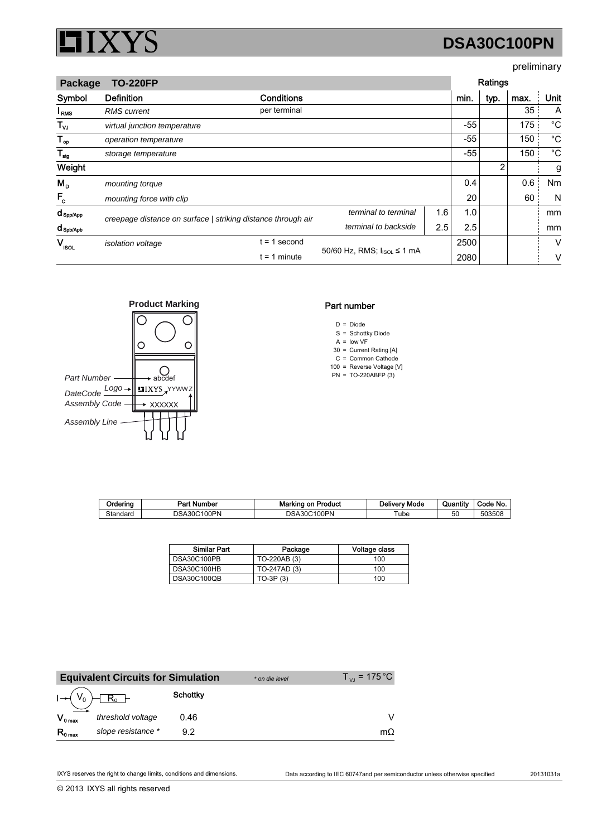

# **DSA30C100PN**

## preliminary

| <b>Package</b>         | <b>TO-220FP</b>              |                                                              |                                         |     | Ratings |      |      |             |
|------------------------|------------------------------|--------------------------------------------------------------|-----------------------------------------|-----|---------|------|------|-------------|
| Symbol                 | <b>Definition</b>            | <b>Conditions</b>                                            |                                         |     | min.    | typ. | max. | Unit        |
| <sup>I</sup> RMS       | <b>RMS</b> current           | per terminal                                                 |                                         |     |         |      | 35   | A           |
| $T_{\nu J}$            | virtual junction temperature |                                                              |                                         |     | $-55$   |      | 175  | $^{\circ}C$ |
| $T_{op}$               | operation temperature        |                                                              |                                         |     | $-55$   |      | 150  | $^{\circ}C$ |
| $T_{\text{stg}}$       | storage temperature          |                                                              |                                         |     | -55     |      | 150  | $^{\circ}C$ |
| Weight                 |                              |                                                              |                                         |     |         | 2    |      | g           |
| $M_{\rm{D}}$           | mounting torque              |                                                              |                                         |     | 0.4     |      | 0.6  | Nm          |
| $F_c$                  | mounting force with clip     |                                                              |                                         |     | 20      |      | 60   | N           |
| $d_{\texttt{Spp/App}}$ |                              | creepage distance on surface   striking distance through air | terminal to terminal                    | 1.6 | 1.0     |      |      | mm          |
| $d$ spb/Apb            |                              |                                                              | terminal to backside                    | 2.5 | 2.5     |      |      | mm          |
| V.<br><b>ISOL</b>      | isolation voltage            | $= 1$ second                                                 | 50/60 Hz, RMS; I <sub>ISOL</sub> ≤ 1 mA |     | 2500    |      |      | V           |
|                        |                              | $t = 1$ minute                                               |                                         |     | 2080    |      |      | v           |



## Part number

- $D = Diode$
- S = Schottky Diode
- $A =$  low VF 30 Current Rating [A] =
- C Common Cathode =
- 100 Reverse Voltage [V] =
- PN TO-220ABFP (3) =

| Orderina | ' Number<br>D⊶÷<br>. . | Marking<br>Product<br>on | Delivery Mode | Quantity | Code No. |
|----------|------------------------|--------------------------|---------------|----------|----------|
| Standard | 100PN<br>DSA300        | 100PN<br>DSA:<br>30C     | ube           | 50       | 503508   |

| <b>Similar Part</b> | Package      | Voltage class |
|---------------------|--------------|---------------|
| DSA30C100PB         | TO-220AB (3) | 100           |
| DSA30C100HB         | TO-247AD (3) | 100           |
| DSA30C100QB         | $TO-3P(3)$   | 100           |

|              | <b>Equivalent Circuits for Simulation</b> |          | * on die level | $T_{\rm vir}$ = 175 °C |
|--------------|-------------------------------------------|----------|----------------|------------------------|
|              | $I \rightarrow (V_0) \boxed{R_0}$         | Schottky |                |                        |
| $V_{0 \max}$ | threshold voltage                         | 0.46     |                |                        |
| $R_{0 \max}$ | slope resistance *                        | 92       |                | mΩ                     |